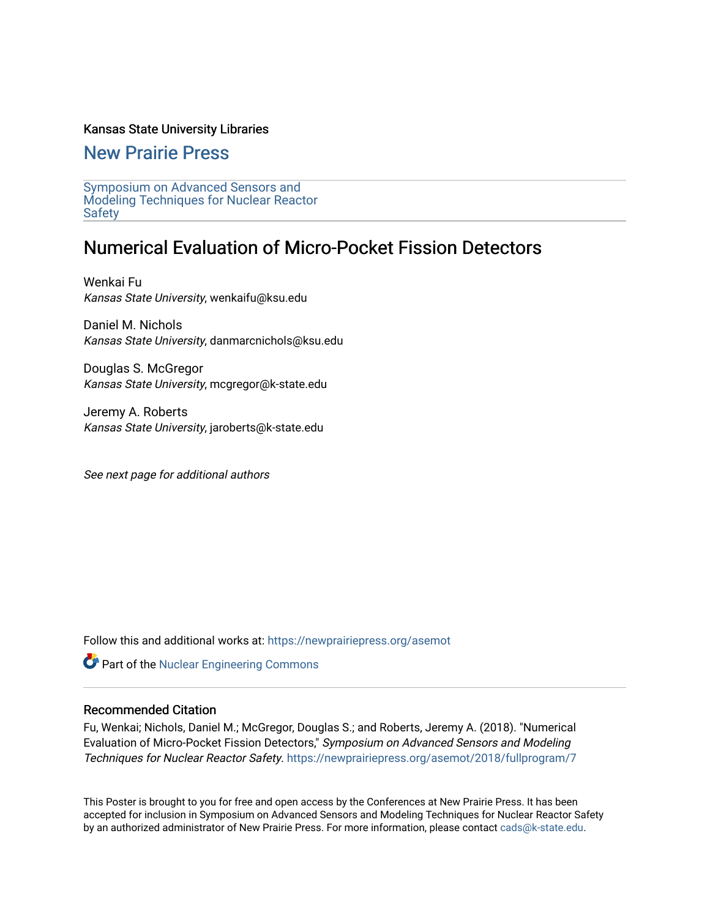#### Kansas State University Libraries

[New Prairie Press](https://newprairiepress.org/) 

[Symposium on Advanced Sensors and](https://newprairiepress.org/asemot)  [Modeling Techniques for Nuclear Reactor](https://newprairiepress.org/asemot) [Safety](https://newprairiepress.org/asemot) 

#### Numerical Evaluation of Micro-Pocket Fission Detectors

Wenkai Fu Kansas State University, wenkaifu@ksu.edu

Daniel M. Nichols Kansas State University, danmarcnichols@ksu.edu

Douglas S. McGregor Kansas State University, mcgregor@k-state.edu

Jeremy A. Roberts Kansas State University, jaroberts@k-state.edu

See next page for additional authors

Follow this and additional works at: [https://newprairiepress.org/asemot](https://newprairiepress.org/asemot?utm_source=newprairiepress.org%2Fasemot%2F2018%2Ffullprogram%2F7&utm_medium=PDF&utm_campaign=PDFCoverPages) 

**Part of the Nuclear Engineering Commons** 

#### Recommended Citation

Fu, Wenkai; Nichols, Daniel M.; McGregor, Douglas S.; and Roberts, Jeremy A. (2018). "Numerical Evaluation of Micro-Pocket Fission Detectors," Symposium on Advanced Sensors and Modeling Techniques for Nuclear Reactor Safety. <https://newprairiepress.org/asemot/2018/fullprogram/7>

This Poster is brought to you for free and open access by the Conferences at New Prairie Press. It has been accepted for inclusion in Symposium on Advanced Sensors and Modeling Techniques for Nuclear Reactor Safety by an authorized administrator of New Prairie Press. For more information, please contact [cads@k-state.edu](mailto:cads@k-state.edu).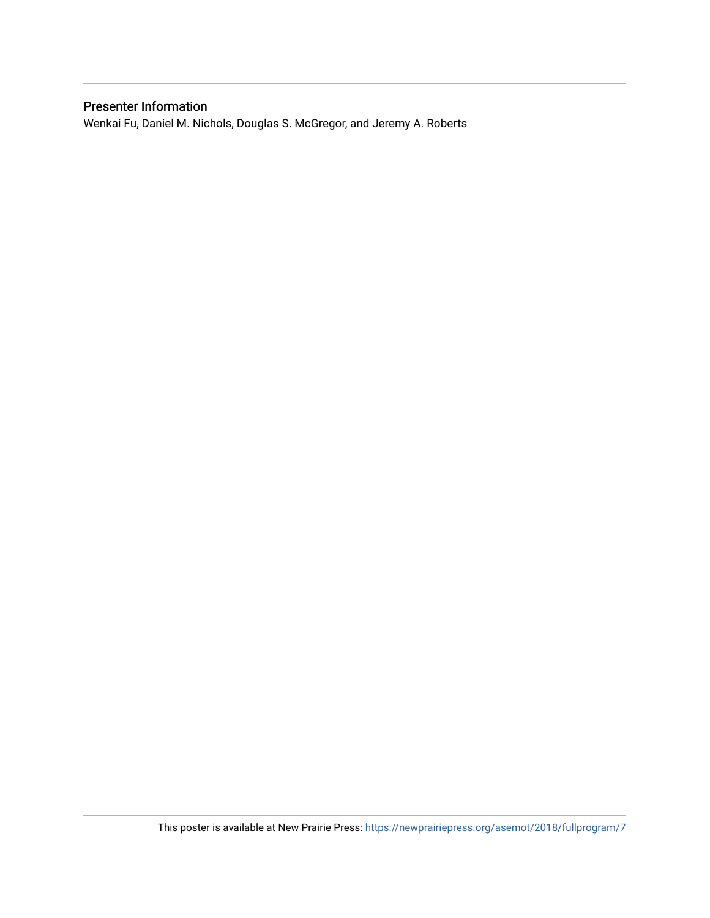#### Presenter Information

Wenkai Fu, Daniel M. Nichols, Douglas S. McGregor, and Jeremy A. Roberts